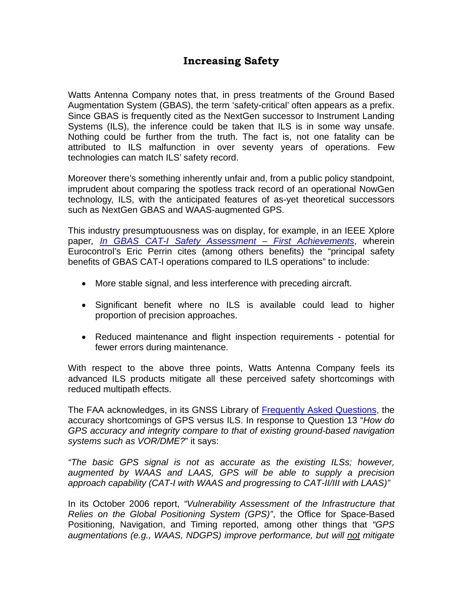## **Increasing Safety**

Watts Antenna Company notes that, in press treatments of the Ground Based Augmentation System (GBAS), the term 'safety-critical' often appears as a prefix. Since GBAS is frequently cited as the NextGen successor to Instrument Landing Systems (ILS), the inference could be taken that ILS is in some way unsafe. Nothing could be further from the truth. The fact is, not one fatality can be attributed to ILS malfunction in over seventy years of operations. Few technologies can match ILS' safety record.

Moreover there's something inherently unfair and, from a public policy standpoint, imprudent about comparing the spotless track record of an operational NowGen technology, ILS, with the anticipated features of as-yet theoretical successors such as NextGen GBAS and WAAS-augmented GPS.

This industry presumptuousness was on display, for example, in an IEEE Xplore paper*, In GBAS CAT-I Safety Assessment – First Achievements*, wherein Eurocontrol's Eric Perrin cites (among others benefits) the "principal safety benefits of GBAS CAT-I operations compared to ILS operations" to include:

- More stable signal, and less interference with preceding aircraft.
- Significant benefit where no ILS is available could lead to higher proportion of precision approaches.
- Reduced maintenance and flight inspection requirements potential for fewer errors during maintenance.

With respect to the above three points, Watts Antenna Company feels its advanced ILS products mitigate all these perceived safety shortcomings with reduced multipath effects.

The FAA acknowledges, in its GNSS Library of Frequently Asked Questions, the accuracy shortcomings of GPS versus ILS. In response to Question 13 "*How do GPS accuracy and integrity compare to that of existing ground-based navigation systems such as VOR/DME?*" it says:

*"The basic GPS signal is not as accurate as the existing ILSs; however, augmented by WAAS and LAAS, GPS will be able to supply a precision approach capability (CAT-I with WAAS and progressing to CAT-II/III with LAAS)"* 

In its October 2006 report, *"Vulnerability Assessment of the Infrastructure that Relies on the Global Positioning System (GPS)"*, the Office for Space-Based Positioning, Navigation, and Timing reported, among other things that *"GPS augmentations (e.g., WAAS, NDGPS) improve performance, but will not mitigate*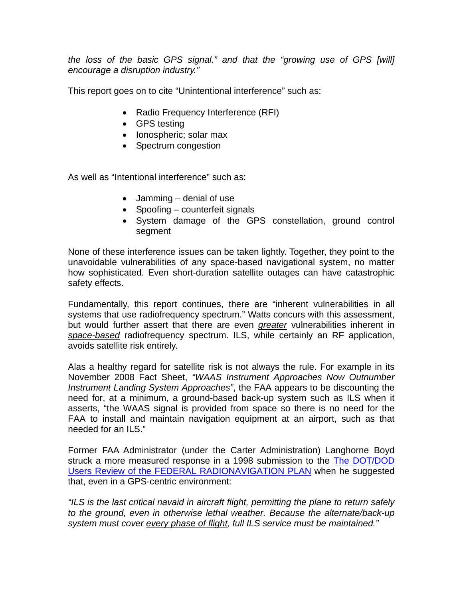*the loss of the basic GPS signal." and that the "growing use of GPS [will] encourage a disruption industry."* 

This report goes on to cite "Unintentional interference" such as:

- Radio Frequency Interference (RFI)
- GPS testing
- lonospheric; solar max
- Spectrum congestion

As well as "Intentional interference" such as:

- $\bullet$  Jamming denial of use
- $\bullet$  Spoofing counterfeit signals
- System damage of the GPS constellation, ground control segment

None of these interference issues can be taken lightly. Together, they point to the unavoidable vulnerabilities of any space-based navigational system, no matter how sophisticated. Even short-duration satellite outages can have catastrophic safety effects.

Fundamentally, this report continues, there are "inherent vulnerabilities in all systems that use radiofrequency spectrum." Watts concurs with this assessment, but would further assert that there are even *greater* vulnerabilities inherent in *space-based* radiofrequency spectrum. ILS, while certainly an RF application, avoids satellite risk entirely.

Alas a healthy regard for satellite risk is not always the rule. For example in its November 2008 Fact Sheet, *"WAAS Instrument Approaches Now Outnumber Instrument Landing System Approaches"*, the FAA appears to be discounting the need for, at a minimum, a ground-based back-up system such as ILS when it asserts, "the WAAS signal is provided from space so there is no need for the FAA to install and maintain navigation equipment at an airport, such as that needed for an ILS."

Former FAA Administrator (under the Carter Administration) Langhorne Boyd struck a more measured response in a 1998 submission to the The DOT/DOD Users Review of the FEDERAL RADIONAVIGATION PLAN when he suggested that, even in a GPS-centric environment:

*"ILS is the last critical navaid in aircraft flight, permitting the plane to return safely to the ground, even in otherwise lethal weather. Because the alternate/back-up system must cover every phase of flight, full ILS service must be maintained."*